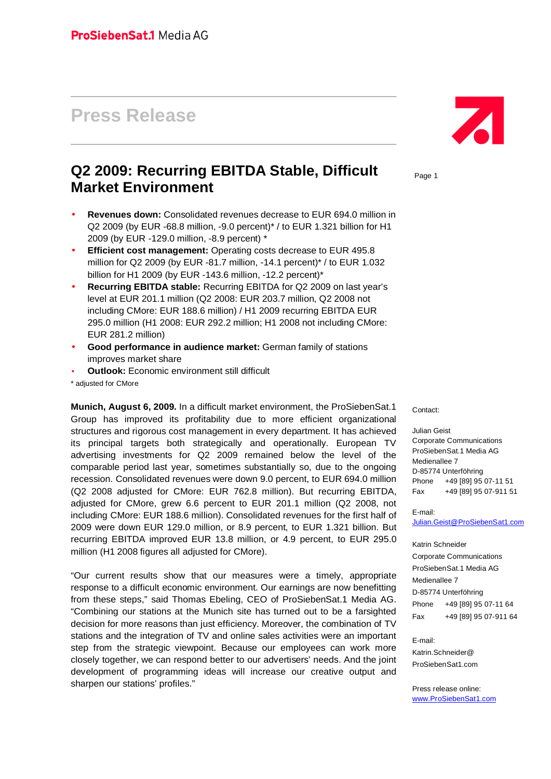# **Press Release**

# **Q2 2009: Recurring EBITDA Stable, Difficult Market Environment**

- **Revenues down:** Consolidated revenues decrease to EUR 694.0 million in Q2 2009 (by EUR -68.8 million, -9.0 percent)\* / to EUR 1.321 billion for H1 2009 (by EUR -129.0 million, -8.9 percent) \*
- **Efficient cost management:** Operating costs decrease to EUR 495.8 million for Q2 2009 (by EUR -81.7 million, -14.1 percent)\* / to EUR 1.032 billion for H1 2009 (by EUR -143.6 million, -12.2 percent)\*
- **Recurring EBITDA stable:** Recurring EBITDA for Q2 2009 on last year's level at EUR 201.1 million (Q2 2008: EUR 203.7 million, Q2 2008 not including CMore: EUR 188.6 million) / H1 2009 recurring EBITDA EUR 295.0 million (H1 2008: EUR 292.2 million; H1 2008 not including CMore: EUR 281.2 million)
- **Good performance in audience market:** German family of stations improves market share
- **Outlook:** Economic environment still difficult

\* adjusted for CMore

**Munich, August 6, 2009.** In a difficult market environment, the ProSiebenSat.1 Group has improved its profitability due to more efficient organizational structures and rigorous cost management in every department. It has achieved its principal targets both strategically and operationally. European TV advertising investments for Q2 2009 remained below the level of the comparable period last year, sometimes substantially so, due to the ongoing recession. Consolidated revenues were down 9.0 percent, to EUR 694.0 million (Q2 2008 adjusted for CMore: EUR 762.8 million). But recurring EBITDA, adjusted for CMore, grew 6.6 percent to EUR 201.1 million (Q2 2008, not including CMore: EUR 188.6 million). Consolidated revenues for the first half of 2009 were down EUR 129.0 million, or 8.9 percent, to EUR 1.321 billion. But recurring EBITDA improved EUR 13.8 million, or 4.9 percent, to EUR 295.0 million (H1 2008 figures all adjusted for CMore).

"Our current results show that our measures were a timely, appropriate response to a difficult economic environment. Our earnings are now benefitting from these steps," said Thomas Ebeling, CEO of ProSiebenSat.1 Media AG. "Combining our stations at the Munich site has turned out to be a farsighted decision for more reasons than just efficiency. Moreover, the combination of TV stations and the integration of TV and online sales activities were an important step from the strategic viewpoint. Because our employees can work more closely together, we can respond better to our advertisers' needs. And the joint development of programming ideas will increase our creative output and sharpen our stations' profiles."



Page 1

Contact:

Julian Geist

Corporate Communications ProSiebenSat.1 Media AG Medienallee 7 D-85774 Unterföhring Phone +49 [89] 95 07-11 51 Fax +49 [89] 95 07-911 51

E-mail:

[Julian.Geist@ProSiebenSat1.com](mailto:Julian.Geist@ProSiebenSat1.com)

Katrin Schneider Corporate Communications ProSiebenSat.1 Media AG Medienallee 7 D-85774 Unterföhring Phone +49 [89] 95 07-11 64

Fax +49 [89] 95 07-911 64

E-mail:

Katrin.Schneider@ ProSiebenSat1.com

Press release online: [www.ProSiebenSat1.com](http://www.prosiebensat1.com/)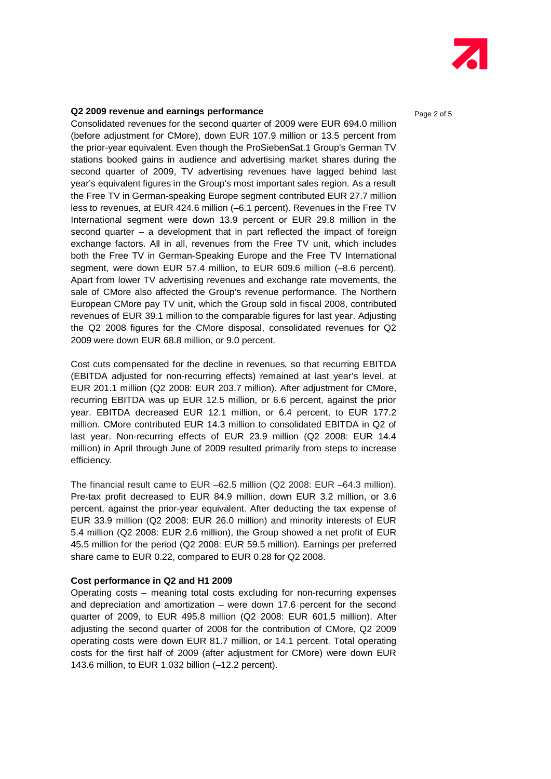

#### **Q2 2009 revenue and earnings performance Page 2 of 5** Page 2 of 5

Consolidated revenues for the second quarter of 2009 were EUR 694.0 million (before adjustment for CMore), down EUR 107.9 million or 13.5 percent from the prior-year equivalent. Even though the ProSiebenSat.1 Group's German TV stations booked gains in audience and advertising market shares during the second quarter of 2009, TV advertising revenues have lagged behind last year's equivalent figures in the Group's most important sales region. As a result the Free TV in German-speaking Europe segment contributed EUR 27.7 million less to revenues, at EUR 424.6 million (–6.1 percent). Revenues in the Free TV International segment were down 13.9 percent or EUR 29.8 million in the second quarter – a development that in part reflected the impact of foreign exchange factors. All in all, revenues from the Free TV unit, which includes both the Free TV in German-Speaking Europe and the Free TV International segment, were down EUR 57.4 million, to EUR 609.6 million (–8.6 percent). Apart from lower TV advertising revenues and exchange rate movements, the sale of CMore also affected the Group's revenue performance. The Northern European CMore pay TV unit, which the Group sold in fiscal 2008, contributed revenues of EUR 39.1 million to the comparable figures for last year. Adjusting the Q2 2008 figures for the CMore disposal, consolidated revenues for Q2 2009 were down EUR 68.8 million, or 9.0 percent.

Cost cuts compensated for the decline in revenues, so that recurring EBITDA (EBITDA adjusted for non-recurring effects) remained at last year's level, at EUR 201.1 million (Q2 2008: EUR 203.7 million). After adjustment for CMore, recurring EBITDA was up EUR 12.5 million, or 6.6 percent, against the prior year. EBITDA decreased EUR 12.1 million, or 6.4 percent, to EUR 177.2 million. CMore contributed EUR 14.3 million to consolidated EBITDA in Q2 of last year. Non-recurring effects of EUR 23.9 million (Q2 2008: EUR 14.4 million) in April through June of 2009 resulted primarily from steps to increase efficiency.

The financial result came to EUR –62.5 million (Q2 2008: EUR –64.3 million). Pre-tax profit decreased to EUR 84.9 million, down EUR 3.2 million, or 3.6 percent, against the prior-year equivalent. After deducting the tax expense of EUR 33.9 million (Q2 2008: EUR 26.0 million) and minority interests of EUR 5.4 million (Q2 2008: EUR 2.6 million), the Group showed a net profit of EUR 45.5 million for the period (Q2 2008: EUR 59.5 million). Earnings per preferred share came to EUR 0.22, compared to EUR 0.28 for Q2 2008.

#### **Cost performance in Q2 and H1 2009**

Operating costs – meaning total costs excluding for non-recurring expenses and depreciation and amortization – were down 17.6 percent for the second quarter of 2009, to EUR 495.8 million (Q2 2008: EUR 601.5 million). After adjusting the second quarter of 2008 for the contribution of CMore, Q2 2009 operating costs were down EUR 81.7 million, or 14.1 percent. Total operating costs for the first half of 2009 (after adjustment for CMore) were down EUR 143.6 million, to EUR 1.032 billion (–12.2 percent).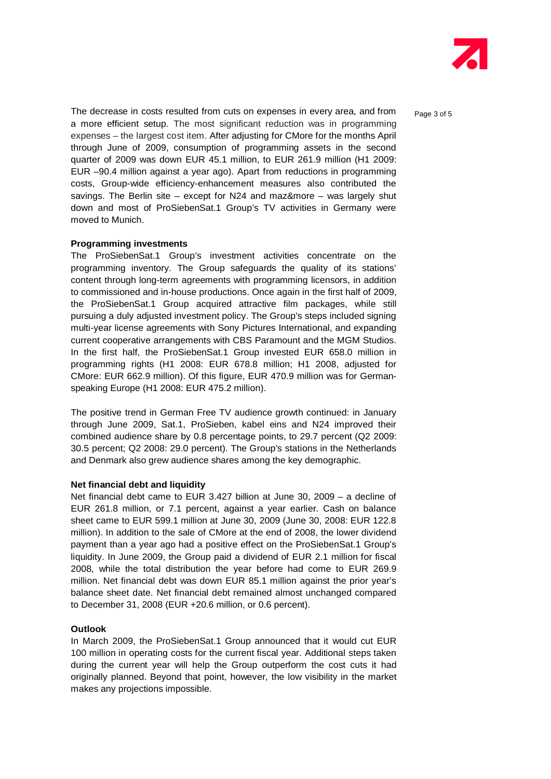

The decrease in costs resulted from cuts on expenses in every area, and from  $P_{\text{aqe 3 of 5}}$ a more efficient setup. The most significant reduction was in programming expenses – the largest cost item. After adjusting for CMore for the months April through June of 2009, consumption of programming assets in the second quarter of 2009 was down EUR 45.1 million, to EUR 261.9 million (H1 2009: EUR –90.4 million against a year ago). Apart from reductions in programming costs, Group-wide efficiency-enhancement measures also contributed the savings. The Berlin site – except for N24 and maz&more – was largely shut down and most of ProSiebenSat.1 Group's TV activities in Germany were moved to Munich.

#### **Programming investments**

The ProSiebenSat.1 Group's investment activities concentrate on the programming inventory. The Group safeguards the quality of its stations' content through long-term agreements with programming licensors, in addition to commissioned and in-house productions. Once again in the first half of 2009, the ProSiebenSat.1 Group acquired attractive film packages, while still pursuing a duly adjusted investment policy. The Group's steps included signing multi-year license agreements with Sony Pictures International, and expanding current cooperative arrangements with CBS Paramount and the MGM Studios. In the first half, the ProSiebenSat.1 Group invested EUR 658.0 million in programming rights (H1 2008: EUR 678.8 million; H1 2008, adjusted for CMore: EUR 662.9 million). Of this figure, EUR 470.9 million was for German speaking Europe (H1 2008: EUR 475.2 million).

The positive trend in German Free TV audience growth continued: in January through June 2009, Sat.1, ProSieben, kabel eins and N24 improved their combined audience share by 0.8 percentage points, to 29.7 percent (Q2 2009: 30.5 percent; Q2 2008: 29.0 percent). The Group's stations in the Netherlands and Denmark also grew audience shares among the key demographic.

#### **Net financial debt and liquidity**

Net financial debt came to EUR 3.427 billion at June 30, 2009 – a decline of EUR 261.8 million, or 7.1 percent, against a year earlier. Cash on balance sheet came to EUR 599.1 million at June 30, 2009 (June 30, 2008: EUR 122.8 million). In addition to the sale of CMore at the end of 2008, the lower dividend payment than a year ago had a positive effect on the ProSiebenSat.1 Group's liquidity. In June 2009, the Group paid a dividend of EUR 2.1 million for fiscal 2008, while the total distribution the year before had come to EUR 269.9 million. Net financial debt was down EUR 85.1 million against the prior year's balance sheet date. Net financial debt remained almost unchanged compared to December 31, 2008 (EUR +20.6 million, or 0.6 percent).

#### **Outlook**

In March 2009, the ProSiebenSat.1 Group announced that it would cut EUR 100 million in operating costs for the current fiscal year. Additional steps taken during the current year will help the Group outperform the cost cuts it had originally planned. Beyond that point, however, the low visibility in the market makes any projections impossible.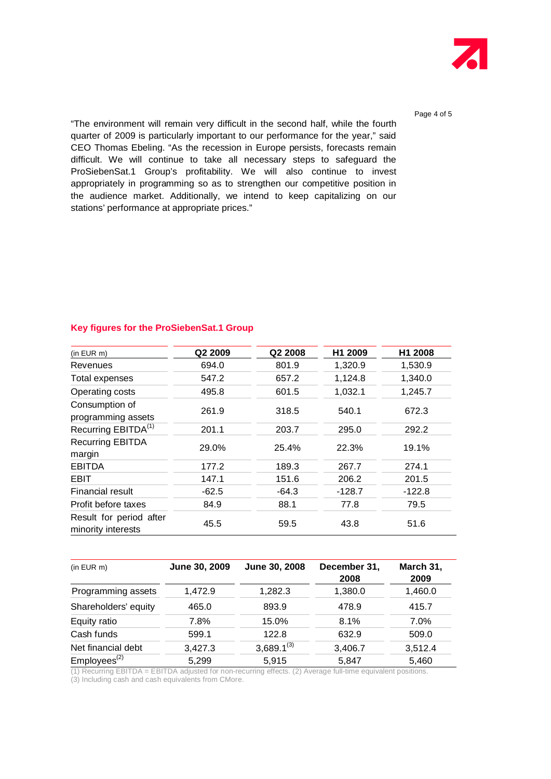

Page 4 of 5

"The environment will remain very difficult in the second half, while the fourth quarter of 2009 is particularly important to our performance for the year," said CEO Thomas Ebeling. "As the recession in Europe persists, forecasts remain difficult. We will continue to take all necessary steps to safeguard the ProSiebenSat.1 Group's profitability. We will also continue to invest appropriately in programming so as to strengthen our competitive position in the audience market. Additionally, we intend to keep capitalizing on our stations' performance at appropriate prices."

#### **Key figures for the ProSiebenSat.1 Group**

| (in EUR m)                                    | Q2 2009 | Q2 2008 | H1 2009  | H1 2008  |
|-----------------------------------------------|---------|---------|----------|----------|
| Revenues                                      | 694.0   | 801.9   | 1,320.9  | 1,530.9  |
| Total expenses                                | 547.2   | 657.2   | 1,124.8  | 1,340.0  |
| Operating costs                               | 495.8   | 601.5   | 1,032.1  | 1,245.7  |
| Consumption of<br>programming assets          | 261.9   | 318.5   | 540.1    | 672.3    |
| Recurring EBITDA <sup>(1)</sup>               | 201.1   | 203.7   | 295.0    | 292.2    |
| <b>Recurring EBITDA</b><br>margin             | 29.0%   | 25.4%   | 22.3%    | 19.1%    |
| <b>EBITDA</b>                                 | 177.2   | 189.3   | 267.7    | 274.1    |
| <b>EBIT</b>                                   | 147.1   | 151.6   | 206.2    | 201.5    |
| Financial result                              | $-62.5$ | $-64.3$ | $-128.7$ | $-122.8$ |
| Profit before taxes                           | 84.9    | 88.1    | 77.8     | 79.5     |
| Result for period after<br>minority interests | 45.5    | 59.5    | 43.8     | 51.6     |

| (in EUR m)              | June 30, 2009 | June 30, 2008   | December 31,<br>2008 | March 31,<br>2009 |
|-------------------------|---------------|-----------------|----------------------|-------------------|
| Programming assets      | 1,472.9       | 1,282.3         | 1,380.0              | 1,460.0           |
| Shareholders' equity    | 465.0         | 893.9           | 478.9                | 415.7             |
| Equity ratio            | 7.8%          | 15.0%           | 8.1%                 | 7.0%              |
| Cash funds              | 599.1         | 122.8           | 632.9                | 509.0             |
| Net financial debt      | 3,427.3       | $3,689.1^{(3)}$ | 3,406.7              | 3,512.4           |
| Emplyees <sup>(2)</sup> | 5,299         | 5,915           | 5.847                | 5,460             |

 $(1)$  Recurring EBITDA = EBITDA adjusted for non-recurring effects.  $(2)$  Average full-time equivalent positions. (3) Including cash and cash equivalents from CMore.